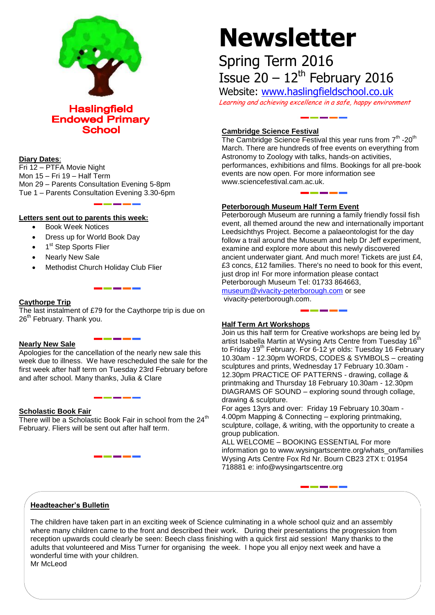

**Haslingfield Endowed Primary School** 

# **Diary Dates**:

Fri 12 – PTFA Movie Night Mon 15 – Fri 19 – Half Term Mon 29 – Parents Consultation Evening 5-8pm Tue 1 – Parents Consultation Evening 3.30-6pm

# **Letters sent out to parents this week:**

- Book Week Notices
- Dress up for World Book Day
- 1<sup>st</sup> Step Sports Flier
- Nearly New Sale
- Methodist Church Holiday Club Flier

# **Caythorpe Trip**

The last instalment of £79 for the Caythorpe trip is due on 26<sup>th</sup> February. Thank you.

# **Nearly New Sale**

Apologies for the cancellation of the nearly new sale this week due to illness. We have rescheduled the sale for the first week after half term on Tuesday 23rd February before and after school. Many thanks, Julia & Clare

#### **Scholastic Book Fair**

There will be a Scholastic Book Fair in school from the  $24<sup>th</sup>$ February. Fliers will be sent out after half term.

# **Newsletter**

# Spring Term 2016 Issue  $20 - 12$ <sup>th</sup> February 2016

Website: [www.haslingfieldschool.co.uk](http://www.haslingfieldschool.co.uk/) Learning and achieving excellence in a safe, happy environment

# **Cambridge Science Festival**

The Cambridge Science Festival this year runs from  $7<sup>th</sup>$  -20<sup>th</sup> March. There are hundreds of free events on everything from Astronomy to Zoology with talks, hands-on activities, performances, exhibitions and films. Bookings for all pre-book events are now open. For more information see www.sciencefestival.cam.ac.uk.

# **Peterborough Museum Half Term Event**

Peterborough Museum are running a family friendly fossil fish event, all themed around the new and internationally important Leedsichthys Project. Become a palaeontologist for the day follow a trail around the Museum and help Dr Jeff experiment, examine and explore more about this newly discovered ancient underwater giant. And much more! Tickets are just £4, £3 concs, £12 families. There's no need to book for this event, just drop in! For more information please contact Peterborough Museum Tel: 01733 864663, [museum@vivacity-peterborough.com](mailto:museum@vivacity-peterborough.com) or see

vivacity-peterborough.com.

# **Half Term Art Workshops**

Join us this half term for Creative workshops are being led by artist Isabella Martin at Wysing Arts Centre from Tuesday 16th to Friday 19<sup>th</sup> February. For 6-12 yr olds: Tuesday 16 February 10.30am - 12.30pm WORDS, CODES & SYMBOLS – creating sculptures and prints, Wednesday 17 February 10.30am - 12.30pm PRACTICE OF PATTERNS - drawing, collage & printmaking and Thursday 18 February 10.30am - 12.30pm DIAGRAMS OF SOUND – exploring sound through collage, drawing & sculpture.

For ages 13yrs and over: Friday 19 February 10.30am - 4.00pm Mapping & Connecting – exploring printmaking, sculpture, collage, & writing, with the opportunity to create a group publication.

ALL WELCOME – BOOKING ESSENTIAL For more information go to www.wysingartscentre.org/whats\_on/families Wysing Arts Centre Fox Rd Nr. Bourn CB23 2TX t: 01954 718881 e: info@wysingartscentre.org

# **Headteacher's Bulletin**

The children have taken part in an exciting week of Science culminating in a whole school quiz and an assembly where many children came to the front and described their work. During their presentations the progression from reception upwards could clearly be seen: Beech class finishing with a quick first aid session! Many thanks to the adults that volunteered and Miss Turner for organising the week. I hope you all enjoy next week and have a wonderful time with your children. Mr McLeod